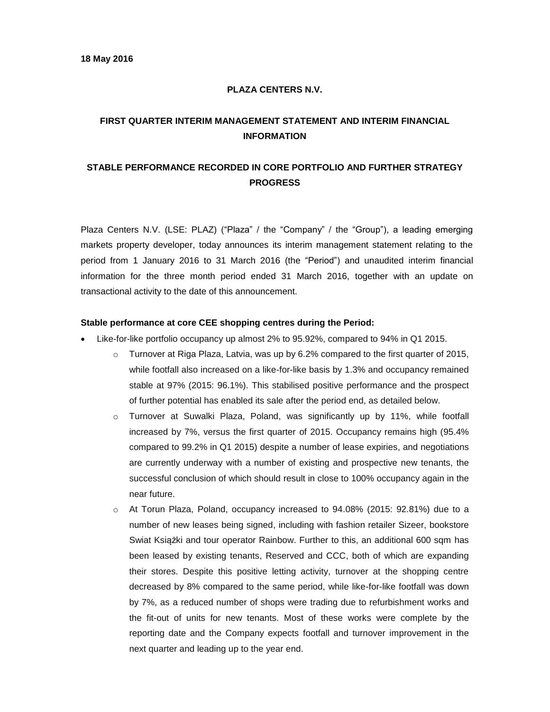#### **PLAZA CENTERS N.V.**

# **FIRST QUARTER INTERIM MANAGEMENT STATEMENT AND INTERIM FINANCIAL INFORMATION**

# **STABLE PERFORMANCE RECORDED IN CORE PORTFOLIO AND FURTHER STRATEGY PROGRESS**

Plaza Centers N.V. (LSE: PLAZ) ("Plaza" / the "Company" / the "Group"), a leading emerging markets property developer, today announces its interim management statement relating to the period from 1 January 2016 to 31 March 2016 (the "Period") and unaudited interim financial information for the three month period ended 31 March 2016, together with an update on transactional activity to the date of this announcement.

#### **Stable performance at core CEE shopping centres during the Period:**

- Like-for-like portfolio occupancy up almost 2% to 95.92%, compared to 94% in Q1 2015.
	- $\circ$  Turnover at Riga Plaza, Latvia, was up by 6.2% compared to the first quarter of 2015, while footfall also increased on a like-for-like basis by 1.3% and occupancy remained stable at 97% (2015: 96.1%). This stabilised positive performance and the prospect of further potential has enabled its sale after the period end, as detailed below.
	- o Turnover at Suwalki Plaza, Poland, was significantly up by 11%, while footfall increased by 7%, versus the first quarter of 2015. Occupancy remains high (95.4% compared to 99.2% in Q1 2015) despite a number of lease expiries, and negotiations are currently underway with a number of existing and prospective new tenants, the successful conclusion of which should result in close to 100% occupancy again in the near future.
	- o At Torun Plaza, Poland, occupancy increased to 94.08% (2015: 92.81%) due to a number of new leases being signed, including with fashion retailer Sizeer, bookstore Swiat Książki and tour operator Rainbow. Further to this, an additional 600 sqm has been leased by existing tenants, Reserved and CCC, both of which are expanding their stores. Despite this positive letting activity, turnover at the shopping centre decreased by 8% compared to the same period, while like-for-like footfall was down by 7%, as a reduced number of shops were trading due to refurbishment works and the fit-out of units for new tenants. Most of these works were complete by the reporting date and the Company expects footfall and turnover improvement in the next quarter and leading up to the year end.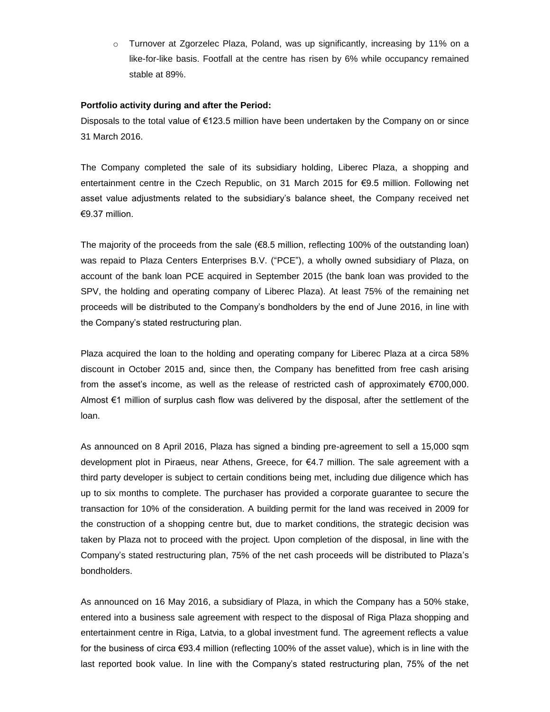o Turnover at Zgorzelec Plaza, Poland, was up significantly, increasing by 11% on a like-for-like basis. Footfall at the centre has risen by 6% while occupancy remained stable at 89%.

#### **Portfolio activity during and after the Period:**

Disposals to the total value of €123.5 million have been undertaken by the Company on or since 31 March 2016.

The Company completed the sale of its subsidiary holding, Liberec Plaza, a shopping and entertainment centre in the Czech Republic, on 31 March 2015 for €9.5 million. Following net asset value adjustments related to the subsidiary's balance sheet, the Company received net €9.37 million.

The majority of the proceeds from the sale  $(\epsilon 8.5$  million, reflecting 100% of the outstanding loan) was repaid to Plaza Centers Enterprises B.V. ("PCE"), a wholly owned subsidiary of Plaza, on account of the bank loan PCE acquired in September 2015 (the bank loan was provided to the SPV, the holding and operating company of Liberec Plaza). At least 75% of the remaining net proceeds will be distributed to the Company's bondholders by the end of June 2016, in line with the Company's stated restructuring plan.

Plaza acquired the loan to the holding and operating company for Liberec Plaza at a circa 58% discount in October 2015 and, since then, the Company has benefitted from free cash arising from the asset's income, as well as the release of restricted cash of approximately €700,000. Almost €1 million of surplus cash flow was delivered by the disposal, after the settlement of the loan.

As announced on 8 April 2016, Plaza has signed a binding pre-agreement to sell a 15,000 sqm development plot in Piraeus, near Athens, Greece, for €4.7 million. The sale agreement with a third party developer is subject to certain conditions being met, including due diligence which has up to six months to complete. The purchaser has provided a corporate guarantee to secure the transaction for 10% of the consideration. A building permit for the land was received in 2009 for the construction of a shopping centre but, due to market conditions, the strategic decision was taken by Plaza not to proceed with the project. Upon completion of the disposal, in line with the Company's stated restructuring plan, 75% of the net cash proceeds will be distributed to Plaza's bondholders.

As announced on 16 May 2016, a subsidiary of Plaza, in which the Company has a 50% stake, entered into a business sale agreement with respect to the disposal of Riga Plaza shopping and entertainment centre in Riga, Latvia, to a global investment fund. The agreement reflects a value for the business of circa €93.4 million (reflecting 100% of the asset value), which is in line with the last reported book value. In line with the Company's stated restructuring plan, 75% of the net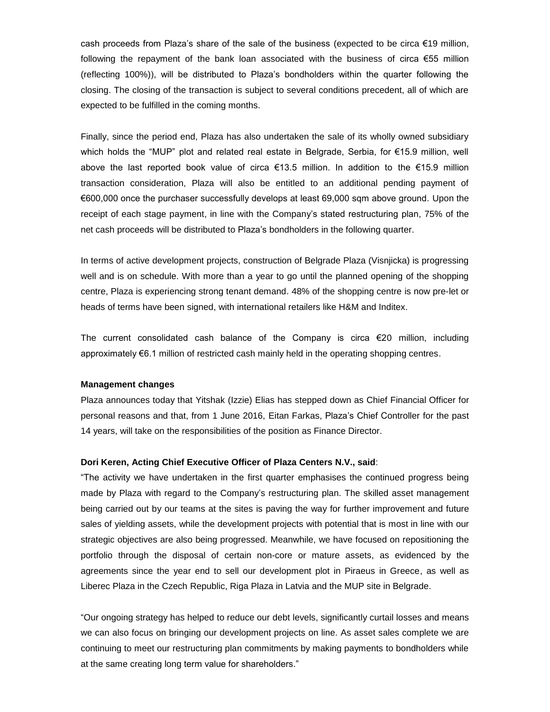cash proceeds from Plaza's share of the sale of the business (expected to be circa €19 million, following the repayment of the bank loan associated with the business of circa €55 million (reflecting 100%)), will be distributed to Plaza's bondholders within the quarter following the closing. The closing of the transaction is subject to several conditions precedent, all of which are expected to be fulfilled in the coming months.

Finally, since the period end, Plaza has also undertaken the sale of its wholly owned subsidiary which holds the "MUP" plot and related real estate in Belgrade, Serbia, for €15.9 million, well above the last reported book value of circa €13.5 million. In addition to the €15.9 million transaction consideration, Plaza will also be entitled to an additional pending payment of €600,000 once the purchaser successfully develops at least 69,000 sqm above ground. Upon the receipt of each stage payment, in line with the Company's stated restructuring plan, 75% of the net cash proceeds will be distributed to Plaza's bondholders in the following quarter.

In terms of active development projects, construction of Belgrade Plaza (Visnjicka) is progressing well and is on schedule. With more than a year to go until the planned opening of the shopping centre, Plaza is experiencing strong tenant demand. 48% of the shopping centre is now pre-let or heads of terms have been signed, with international retailers like H&M and Inditex.

The current consolidated cash balance of the Company is circa €20 million, including approximately €6.1 million of restricted cash mainly held in the operating shopping centres.

#### **Management changes**

Plaza announces today that Yitshak (Izzie) Elias has stepped down as Chief Financial Officer for personal reasons and that, from 1 June 2016, Eitan Farkas, Plaza's Chief Controller for the past 14 years, will take on the responsibilities of the position as Finance Director.

#### **Dori Keren, Acting Chief Executive Officer of Plaza Centers N.V., said**:

"The activity we have undertaken in the first quarter emphasises the continued progress being made by Plaza with regard to the Company's restructuring plan. The skilled asset management being carried out by our teams at the sites is paving the way for further improvement and future sales of yielding assets, while the development projects with potential that is most in line with our strategic objectives are also being progressed. Meanwhile, we have focused on repositioning the portfolio through the disposal of certain non-core or mature assets, as evidenced by the agreements since the year end to sell our development plot in Piraeus in Greece, as well as Liberec Plaza in the Czech Republic, Riga Plaza in Latvia and the MUP site in Belgrade.

"Our ongoing strategy has helped to reduce our debt levels, significantly curtail losses and means we can also focus on bringing our development projects on line. As asset sales complete we are continuing to meet our restructuring plan commitments by making payments to bondholders while at the same creating long term value for shareholders."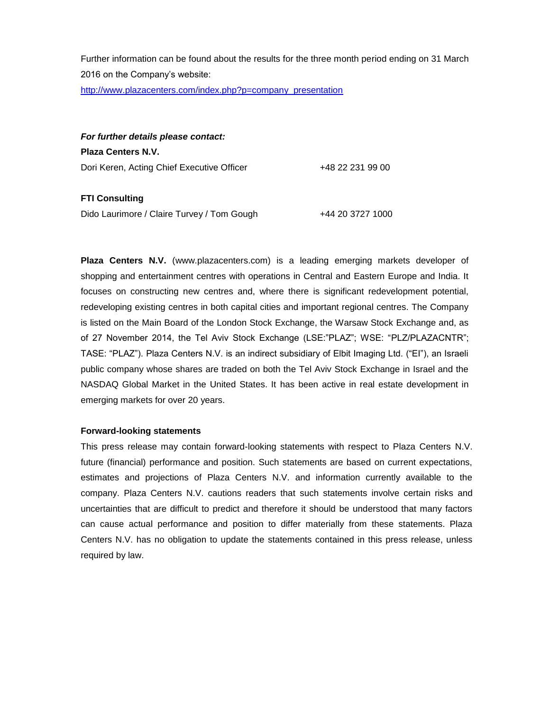Further information can be found about the results for the three month period ending on 31 March 2016 on the Company's website:

[http://www.plazacenters.com/index.php?p=company\\_presentation](http://www.plazacenters.com/index.php?p=company_presentation)

*For further details please contact:* **Plaza Centers N.V.** Dori Keren, Acting Chief Executive Officer +48 22 231 99 00

**FTI Consulting**

Dido Laurimore / Claire Turvey / Tom Gough +44 20 3727 1000

**Plaza Centers N.V.** (www.plazacenters.com) is a leading emerging markets developer of shopping and entertainment centres with operations in Central and Eastern Europe and India. It focuses on constructing new centres and, where there is significant redevelopment potential, redeveloping existing centres in both capital cities and important regional centres. The Company is listed on the Main Board of the London Stock Exchange, the Warsaw Stock Exchange and, as of 27 November 2014, the Tel Aviv Stock Exchange (LSE:"PLAZ"; WSE: "PLZ/PLAZACNTR"; TASE: "PLAZ"). Plaza Centers N.V. is an indirect subsidiary of Elbit Imaging Ltd. ("EI"), an Israeli public company whose shares are traded on both the Tel Aviv Stock Exchange in Israel and the NASDAQ Global Market in the United States. It has been active in real estate development in emerging markets for over 20 years.

#### **Forward-looking statements**

This press release may contain forward-looking statements with respect to Plaza Centers N.V. future (financial) performance and position. Such statements are based on current expectations, estimates and projections of Plaza Centers N.V. and information currently available to the company. Plaza Centers N.V. cautions readers that such statements involve certain risks and uncertainties that are difficult to predict and therefore it should be understood that many factors can cause actual performance and position to differ materially from these statements. Plaza Centers N.V. has no obligation to update the statements contained in this press release, unless required by law.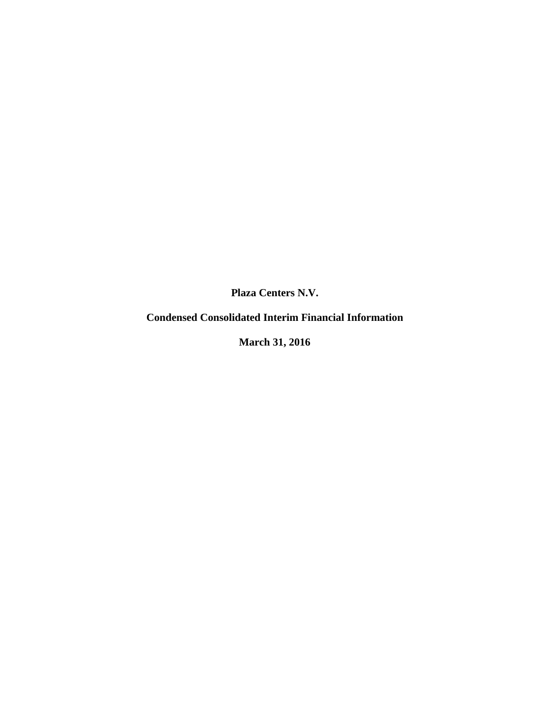# **Condensed Consolidated Interim Financial Information**

**March 31, 2016**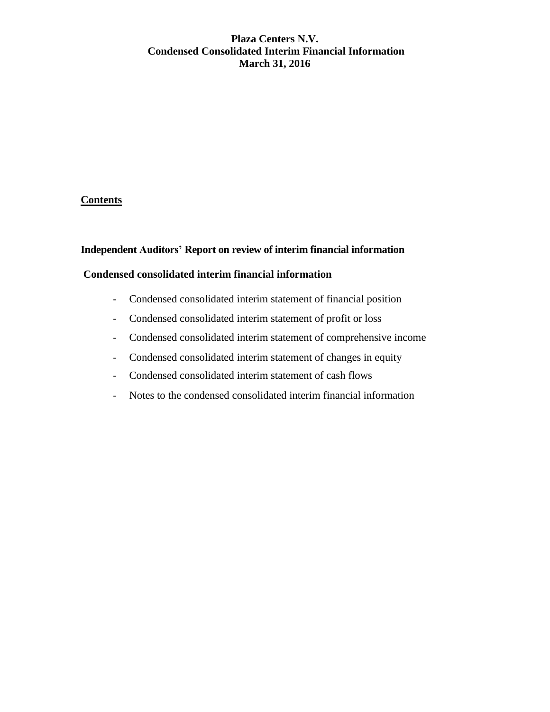# **Plaza Centers N.V. Condensed Consolidated Interim Financial Information March 31, 2016**

# **Contents**

### **Independent Auditors' Report on review of interim financial information**

#### **Condensed consolidated interim financial information**

- Condensed consolidated interim statement of financial position
- Condensed consolidated interim statement of profit or loss
- Condensed consolidated interim statement of comprehensive income
- Condensed consolidated interim statement of changes in equity
- Condensed consolidated interim statement of cash flows
- Notes to the condensed consolidated interim financial information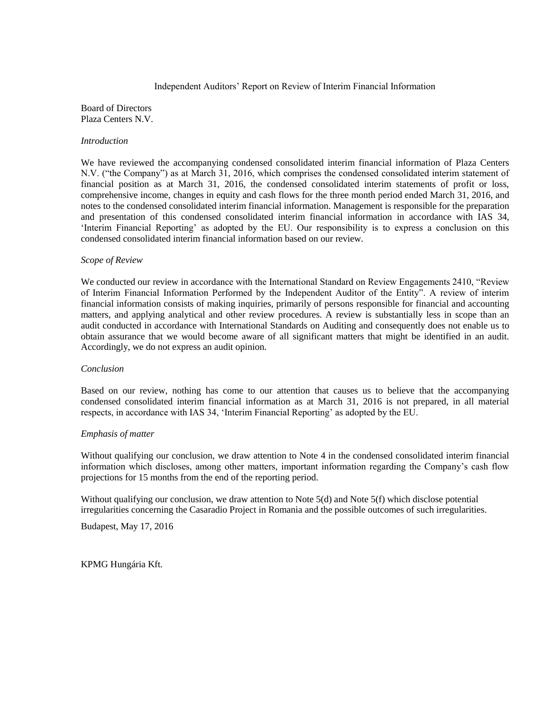#### Independent Auditors' Report on Review of Interim Financial Information

#### Board of Directors Plaza Centers N.V.

#### *Introduction*

We have reviewed the accompanying condensed consolidated interim financial information of Plaza Centers N.V. ("the Company") as at March 31, 2016, which comprises the condensed consolidated interim statement of financial position as at March 31, 2016, the condensed consolidated interim statements of profit or loss, comprehensive income, changes in equity and cash flows for the three month period ended March 31, 2016, and notes to the condensed consolidated interim financial information. Management is responsible for the preparation and presentation of this condensed consolidated interim financial information in accordance with IAS 34, 'Interim Financial Reporting' as adopted by the EU. Our responsibility is to express a conclusion on this condensed consolidated interim financial information based on our review.

#### *Scope of Review*

We conducted our review in accordance with the International Standard on Review Engagements 2410, "Review" of Interim Financial Information Performed by the Independent Auditor of the Entity". A review of interim financial information consists of making inquiries, primarily of persons responsible for financial and accounting matters, and applying analytical and other review procedures. A review is substantially less in scope than an audit conducted in accordance with International Standards on Auditing and consequently does not enable us to obtain assurance that we would become aware of all significant matters that might be identified in an audit. Accordingly, we do not express an audit opinion.

#### *Conclusion*

Based on our review, nothing has come to our attention that causes us to believe that the accompanying condensed consolidated interim financial information as at March 31, 2016 is not prepared, in all material respects, in accordance with IAS 34, 'Interim Financial Reporting' as adopted by the EU.

#### *Emphasis of matter*

Without qualifying our conclusion, we draw attention to Note 4 in the condensed consolidated interim financial information which discloses, among other matters, important information regarding the Company's cash flow projections for 15 months from the end of the reporting period.

Without qualifying our conclusion, we draw attention to Note 5(d) and Note 5(f) which disclose potential irregularities concerning the Casaradio Project in Romania and the possible outcomes of such irregularities.

Budapest, May 17, 2016

KPMG Hungária Kft.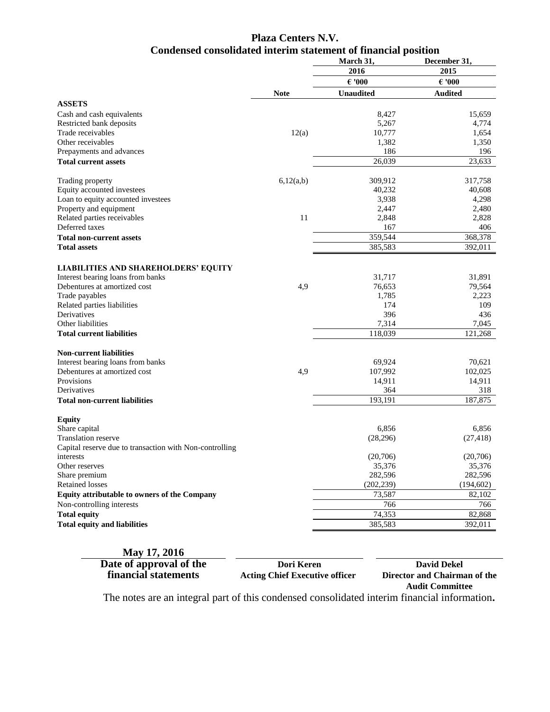# **Plaza Centers N.V. Condensed consolidated interim statement of financial position**

|                                                         |             | March 31,        | December 31,    |
|---------------------------------------------------------|-------------|------------------|-----------------|
|                                                         |             | 2016             | 2015            |
|                                                         |             | $\epsilon$ '000  | $\epsilon$ '000 |
|                                                         | <b>Note</b> | <b>Unaudited</b> | <b>Audited</b>  |
| <b>ASSETS</b>                                           |             |                  |                 |
| Cash and cash equivalents                               |             | 8,427            | 15,659          |
| Restricted bank deposits                                |             | 5,267            | 4,774           |
| Trade receivables                                       | 12(a)       | 10,777           | 1,654           |
| Other receivables                                       |             | 1,382            | 1,350           |
| Prepayments and advances                                |             | 186              | 196             |
| <b>Total current assets</b>                             |             | 26,039           | 23,633          |
|                                                         |             |                  |                 |
| Trading property                                        | 6,12(a,b)   | 309,912          | 317,758         |
| Equity accounted investees                              |             | 40,232           | 40,608          |
| Loan to equity accounted investees                      |             | 3,938            | 4,298           |
| Property and equipment                                  |             | 2,447            | 2,480           |
| Related parties receivables                             | 11          | 2,848            | 2,828           |
| Deferred taxes                                          |             | 167              | 406             |
| <b>Total non-current assets</b>                         |             | 359,544          | 368,378         |
| <b>Total assets</b>                                     |             | 385,583          | 392,011         |
|                                                         |             |                  |                 |
| <b>LIABILITIES AND SHAREHOLDERS' EQUITY</b>             |             |                  |                 |
| Interest bearing loans from banks                       |             | 31,717           | 31,891          |
| Debentures at amortized cost                            | 4,9         | 76,653           | 79,564          |
| Trade payables                                          |             | 1,785            | 2,223           |
| Related parties liabilities                             |             | 174              | 109             |
| Derivatives                                             |             | 396              | 436             |
| Other liabilities                                       |             | 7,314            | 7,045           |
| <b>Total current liabilities</b>                        |             | 118,039          | 121,268         |
| <b>Non-current liabilities</b>                          |             |                  |                 |
| Interest bearing loans from banks                       |             | 69,924           | 70,621          |
| Debentures at amortized cost                            | 4,9         | 107,992          | 102,025         |
| Provisions                                              |             | 14,911           | 14,911          |
| Derivatives                                             |             | 364              | 318             |
| <b>Total non-current liabilities</b>                    |             | 193,191          | 187,875         |
|                                                         |             |                  |                 |
| <b>Equity</b>                                           |             |                  |                 |
| Share capital                                           |             | 6.856            | 6,856           |
| Translation reserve                                     |             | (28, 296)        | (27, 418)       |
| Capital reserve due to transaction with Non-controlling |             |                  |                 |
| interests                                               |             | (20,706)         | (20,706)        |
| Other reserves                                          |             | 35,376           | 35,376          |
| Share premium                                           |             | 282,596          | 282,596         |
| <b>Retained losses</b>                                  |             | (202, 239)       | (194, 602)      |
| Equity attributable to owners of the Company            |             | 73,587           | 82,102          |
| Non-controlling interests                               |             | 766              | 766             |
| <b>Total equity</b>                                     |             | 74,353           | 82,868          |
| <b>Total equity and liabilities</b>                     |             | 385,583          | 392,011         |
|                                                         |             |                  |                 |

#### **May 17, 2016**

**Date of approval of the** *Dori Keren**David Dekel***<br>
<b>EXECUTE: David Dekel**<br> **David Dekel**<br> **David Dekel**<br> **David Dekel**<br> **Director and Chairma** 

**financial statements Acting Chief Executive officer Director and Chairman of the Audit Committee**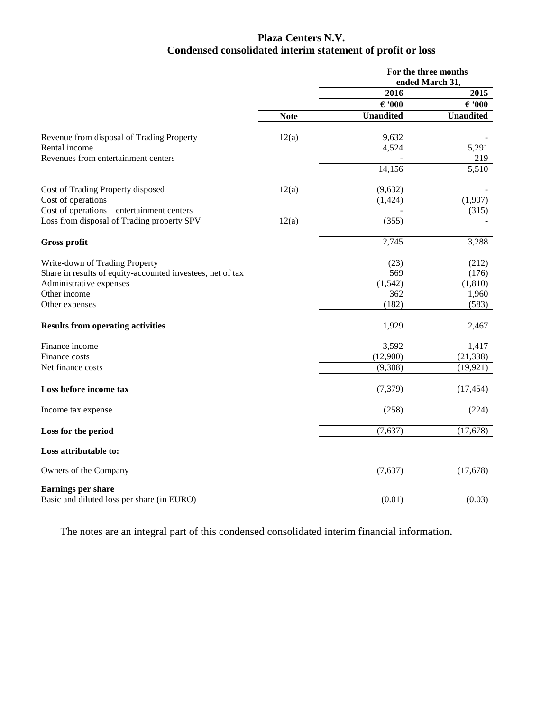# **Plaza Centers N.V. Condensed consolidated interim statement of profit or loss**

|                                                                         |             |                  | For the three months<br>ended March 31, |
|-------------------------------------------------------------------------|-------------|------------------|-----------------------------------------|
|                                                                         |             | 2016             | 2015                                    |
|                                                                         |             | $\epsilon$ '000  | $\epsilon$ '000                         |
|                                                                         | <b>Note</b> | <b>Unaudited</b> | <b>Unaudited</b>                        |
| Revenue from disposal of Trading Property                               | 12(a)       | 9,632            |                                         |
| Rental income                                                           |             | 4,524            | 5,291                                   |
| Revenues from entertainment centers                                     |             |                  | 219                                     |
|                                                                         |             | 14,156           | 5,510                                   |
| Cost of Trading Property disposed                                       | 12(a)       | (9,632)          |                                         |
| Cost of operations                                                      |             | (1, 424)         | (1,907)                                 |
| Cost of operations – entertainment centers                              |             |                  | (315)                                   |
| Loss from disposal of Trading property SPV                              | 12(a)       | (355)            |                                         |
| <b>Gross profit</b>                                                     |             | 2,745            | 3,288                                   |
|                                                                         |             |                  |                                         |
| Write-down of Trading Property                                          |             | (23)             | (212)                                   |
| Share in results of equity-accounted investees, net of tax              |             | 569              | (176)                                   |
| Administrative expenses                                                 |             | (1, 542)         | (1, 810)                                |
| Other income                                                            |             | 362              | 1,960                                   |
| Other expenses                                                          |             | (182)            | (583)                                   |
| <b>Results from operating activities</b>                                |             | 1,929            | 2,467                                   |
| Finance income                                                          |             | 3,592            | 1,417                                   |
| Finance costs                                                           |             | (12,900)         | (21, 338)                               |
| Net finance costs                                                       |             | (9,308)          | (19, 921)                               |
| Loss before income tax                                                  |             | (7,379)          | (17, 454)                               |
| Income tax expense                                                      |             | (258)            | (224)                                   |
| Loss for the period                                                     |             | (7,637)          | (17,678)                                |
| Loss attributable to:                                                   |             |                  |                                         |
| Owners of the Company                                                   |             | (7,637)          | (17,678)                                |
| <b>Earnings per share</b><br>Basic and diluted loss per share (in EURO) |             | (0.01)           | (0.03)                                  |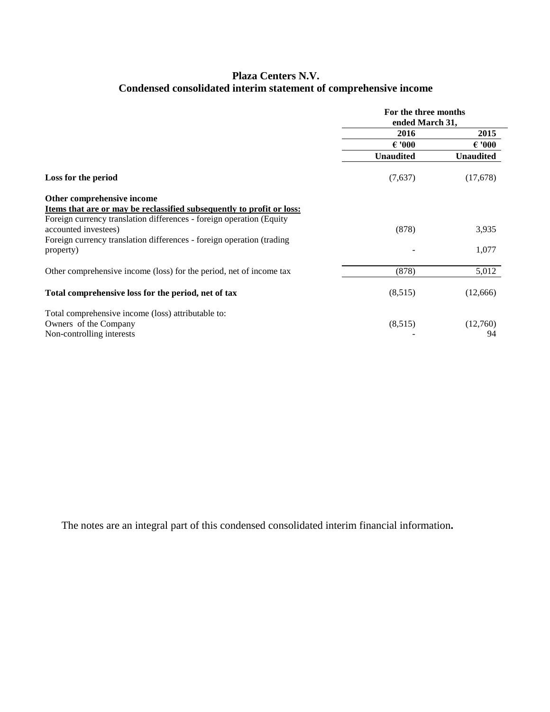# **Plaza Centers N.V. Condensed consolidated interim statement of comprehensive income**

|                                                                       | For the three months<br>ended March 31, |                  |  |
|-----------------------------------------------------------------------|-----------------------------------------|------------------|--|
|                                                                       | 2016                                    | 2015             |  |
|                                                                       | $\epsilon$ '000                         | $\epsilon$ '000  |  |
|                                                                       | <b>Unaudited</b>                        | <b>Unaudited</b> |  |
| Loss for the period                                                   | (7,637)                                 | (17,678)         |  |
| Other comprehensive income                                            |                                         |                  |  |
| Items that are or may be reclassified subsequently to profit or loss: |                                         |                  |  |
| Foreign currency translation differences - foreign operation (Equity  |                                         |                  |  |
| accounted investees)                                                  | (878)                                   | 3,935            |  |
| Foreign currency translation differences - foreign operation (trading |                                         |                  |  |
| property)                                                             |                                         | 1,077            |  |
| Other comprehensive income (loss) for the period, net of income tax   | (878)                                   | 5,012            |  |
| Total comprehensive loss for the period, net of tax                   | (8,515)                                 | (12,666)         |  |
| Total comprehensive income (loss) attributable to:                    |                                         |                  |  |
| Owners of the Company                                                 | (8,515)                                 | (12,760)         |  |
| Non-controlling interests                                             |                                         | 94               |  |
|                                                                       |                                         |                  |  |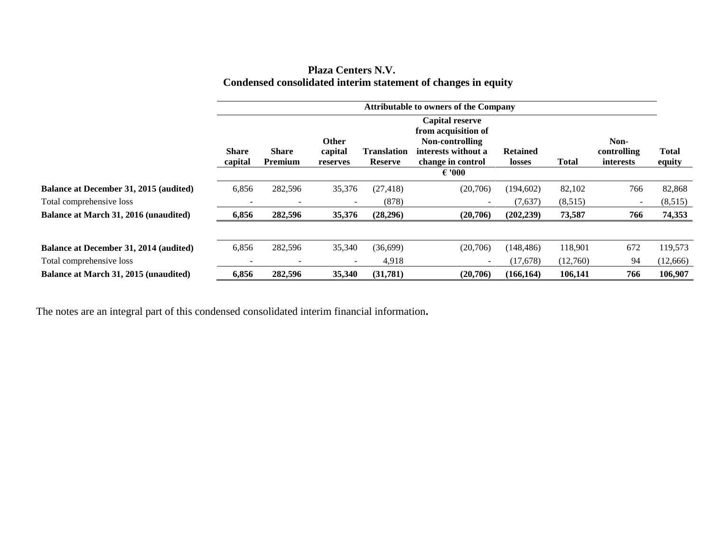|                                                               | <b>Plaza Centers N.V.</b> |  |
|---------------------------------------------------------------|---------------------------|--|
| Condensed consolidated interim statement of changes in equity |                           |  |

|                                              |                         |                          |                              |                                      | <b>Attributable to owners of the Company</b>                                                                             |                           |              |                                         |                        |
|----------------------------------------------|-------------------------|--------------------------|------------------------------|--------------------------------------|--------------------------------------------------------------------------------------------------------------------------|---------------------------|--------------|-----------------------------------------|------------------------|
|                                              | <b>Share</b><br>capital | <b>Share</b><br>Premium  | Other<br>capital<br>reserves | <b>Translation</b><br><b>Reserve</b> | Capital reserve<br>from acquisition of<br>Non-controlling<br>interests without a<br>change in control<br>$\epsilon$ '000 | <b>Retained</b><br>losses | <b>Total</b> | Non-<br>controlling<br><i>interests</i> | <b>Total</b><br>equity |
| Balance at December 31, 2015 (audited)       | 6,856                   | 282,596                  | 35,376                       | (27, 418)                            | (20,706)                                                                                                                 | (194, 602)                | 82,102       | 766                                     | 82,868                 |
| Total comprehensive loss                     |                         | $\overline{\phantom{a}}$ |                              | (878)                                |                                                                                                                          | (7,637)                   | (8,515)      | $\overline{\phantom{m}}$                | (8,515)                |
| <b>Balance at March 31, 2016 (unaudited)</b> | 6,856                   | 282,596                  | 35,376                       | (28, 296)                            | (20,706)                                                                                                                 | (202, 239)                | 73,587       | 766                                     | 74,353                 |
| Balance at December 31, 2014 (audited)       | 6,856                   | 282,596                  | 35,340                       | (36,699)                             | (20,706)                                                                                                                 | (148, 486)                | 118,901      | 672                                     | 119,573                |
| Total comprehensive loss                     |                         |                          |                              | 4,918                                | $\overline{\phantom{0}}$                                                                                                 | (17, 678)                 | (12,760)     | 94                                      | (12, 666)              |
| <b>Balance at March 31, 2015 (unaudited)</b> | 6,856                   | 282,596                  | 35,340                       | (31,781)                             | (20,706)                                                                                                                 | (166, 164)                | 106,141      | 766                                     | 106,907                |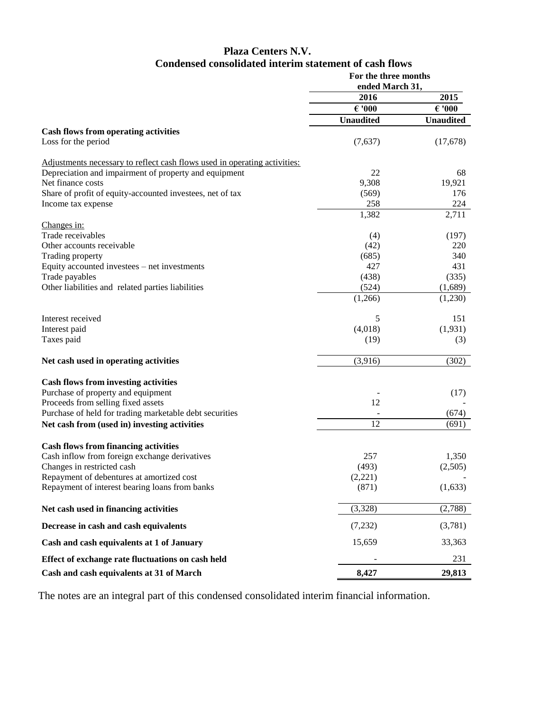# **Plaza Centers N.V. Condensed consolidated interim statement of cash flows**

|                                                                           | For the three months<br>ended March 31, |                  |
|---------------------------------------------------------------------------|-----------------------------------------|------------------|
|                                                                           | 2016                                    | 2015             |
|                                                                           | $\epsilon$ '000                         | $\epsilon$ '000  |
|                                                                           | <b>Unaudited</b>                        | <b>Unaudited</b> |
| <b>Cash flows from operating activities</b>                               |                                         |                  |
| Loss for the period                                                       | (7,637)                                 | (17,678)         |
| Adjustments necessary to reflect cash flows used in operating activities: |                                         |                  |
| Depreciation and impairment of property and equipment                     | 22                                      | 68               |
| Net finance costs                                                         | 9,308                                   | 19,921           |
| Share of profit of equity-accounted investees, net of tax                 | (569)                                   | 176              |
| Income tax expense                                                        | 258                                     | 224              |
|                                                                           | 1,382                                   | 2,711            |
| Changes in:<br>Trade receivables                                          | (4)                                     | (197)            |
| Other accounts receivable                                                 | (42)                                    | 220              |
| Trading property                                                          | (685)                                   | 340              |
| Equity accounted investees - net investments                              | 427                                     | 431              |
| Trade payables                                                            | (438)                                   | (335)            |
| Other liabilities and related parties liabilities                         | (524)                                   | (1,689)          |
|                                                                           | (1,266)                                 | (1,230)          |
| Interest received                                                         |                                         |                  |
|                                                                           | 5<br>(4,018)                            | 151              |
| Interest paid<br>Taxes paid                                               |                                         | (1,931)<br>(3)   |
|                                                                           | (19)                                    |                  |
| Net cash used in operating activities                                     | (3,916)                                 | (302)            |
| <b>Cash flows from investing activities</b>                               |                                         |                  |
| Purchase of property and equipment                                        |                                         | (17)             |
| Proceeds from selling fixed assets                                        | 12                                      |                  |
| Purchase of held for trading marketable debt securities                   |                                         | (674)            |
| Net cash from (used in) investing activities                              | 12                                      | (691)            |
| <b>Cash flows from financing activities</b>                               |                                         |                  |
| Cash inflow from foreign exchange derivatives                             | 257                                     | 1,350            |
| Changes in restricted cash                                                | (493)                                   | (2,505)          |
| Repayment of debentures at amortized cost                                 | (2,221)                                 |                  |
| Repayment of interest bearing loans from banks                            | (871)                                   | (1,633)          |
| Net cash used in financing activities                                     | (3,328)                                 | (2,788)          |
| Decrease in cash and cash equivalents                                     | (7,232)                                 | (3,781)          |
| Cash and cash equivalents at 1 of January                                 | 15,659                                  | 33,363           |
| Effect of exchange rate fluctuations on cash held                         |                                         | 231              |
| Cash and cash equivalents at 31 of March                                  | 8,427                                   | 29,813           |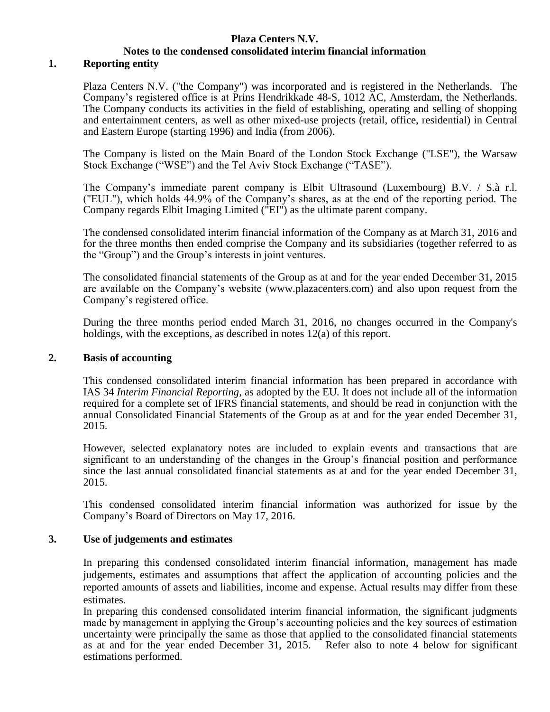# **Plaza Centers N.V. Notes to the condensed consolidated interim financial information**

### **1. Reporting entity**

Plaza Centers N.V. ("the Company") was incorporated and is registered in the Netherlands. The Company's registered office is at Prins Hendrikkade 48-S, 1012 AC, Amsterdam, the Netherlands. The Company conducts its activities in the field of establishing, operating and selling of shopping and entertainment centers, as well as other mixed-use projects (retail, office, residential) in Central and Eastern Europe (starting 1996) and India (from 2006).

The Company is listed on the Main Board of the London Stock Exchange ("LSE"), the Warsaw Stock Exchange ("WSE") and the Tel Aviv Stock Exchange ("TASE").

The Company's immediate parent company is Elbit Ultrasound (Luxembourg) B.V. / S.à r.l. ("EUL"), which holds 44.9% of the Company's shares, as at the end of the reporting period. The Company regards Elbit Imaging Limited ("EI") as the ultimate parent company.

The condensed consolidated interim financial information of the Company as at March 31, 2016 and for the three months then ended comprise the Company and its subsidiaries (together referred to as the "Group") and the Group's interests in joint ventures.

The consolidated financial statements of the Group as at and for the year ended December 31, 2015 are available on the Company's website [\(www.plazacenters.com\)](http://www.plazacenters.com/) and also upon request from the Company's registered office.

During the three months period ended March 31, 2016, no changes occurred in the Company's holdings, with the exceptions, as described in notes 12(a) of this report.

#### **2. Basis of accounting**

This condensed consolidated interim financial information has been prepared in accordance with IAS 34 *Interim Financial Reporting,* as adopted by the EU*.* It does not include all of the information required for a complete set of IFRS financial statements, and should be read in conjunction with the annual Consolidated Financial Statements of the Group as at and for the year ended December 31, 2015.

However, selected explanatory notes are included to explain events and transactions that are significant to an understanding of the changes in the Group's financial position and performance since the last annual consolidated financial statements as at and for the year ended December 31, 2015.

This condensed consolidated interim financial information was authorized for issue by the Company's Board of Directors on May 17, 2016.

#### **3. Use of judgements and estimates**

In preparing this condensed consolidated interim financial information, management has made judgements, estimates and assumptions that affect the application of accounting policies and the reported amounts of assets and liabilities, income and expense. Actual results may differ from these estimates.

In preparing this condensed consolidated interim financial information, the significant judgments made by management in applying the Group's accounting policies and the key sources of estimation uncertainty were principally the same as those that applied to the consolidated financial statements as at and for the year ended December 31, 2015. Refer also to note 4 below for significant estimations performed.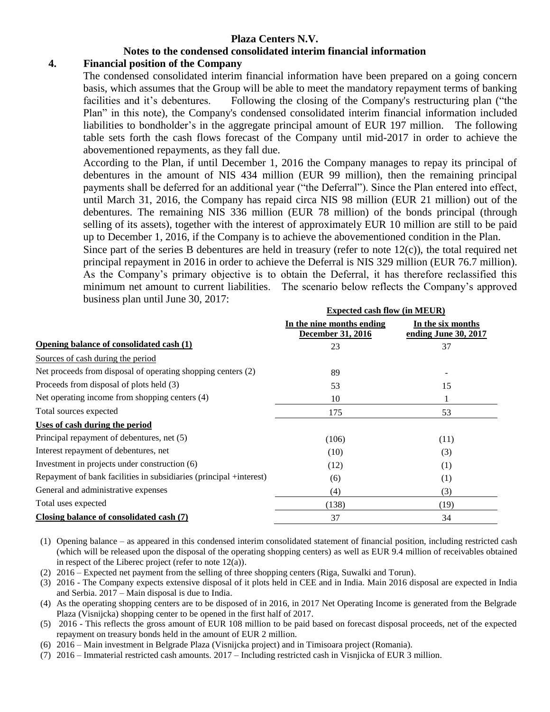#### **Notes to the condensed consolidated interim financial information**

#### **4. Financial position of the Company**

The condensed consolidated interim financial information have been prepared on a going concern basis, which assumes that the Group will be able to meet the mandatory repayment terms of banking facilities and it's debentures. Following the closing of the Company's restructuring plan ("the Plan" in this note), the Company's condensed consolidated interim financial information included liabilities to bondholder's in the aggregate principal amount of EUR 197 million. The following table sets forth the cash flows forecast of the Company until mid-2017 in order to achieve the abovementioned repayments, as they fall due.

According to the Plan, if until December 1, 2016 the Company manages to repay its principal of debentures in the amount of NIS 434 million (EUR 99 million), then the remaining principal payments shall be deferred for an additional year ("the Deferral"). Since the Plan entered into effect, until March 31, 2016, the Company has repaid circa NIS 98 million (EUR 21 million) out of the debentures. The remaining NIS 336 million (EUR 78 million) of the bonds principal (through selling of its assets), together with the interest of approximately EUR 10 million are still to be paid up to December 1, 2016, if the Company is to achieve the abovementioned condition in the Plan.

Since part of the series B debentures are held in treasury (refer to note 12(c)), the total required net principal repayment in 2016 in order to achieve the Deferral is NIS 329 million (EUR 76.7 million). As the Company's primary objective is to obtain the Deferral, it has therefore reclassified this minimum net amount to current liabilities. The scenario below reflects the Company's approved business plan until June 30, 2017:

|                                                                    | <b>Expected cash flow (in MEUR)</b>                   |                                           |  |
|--------------------------------------------------------------------|-------------------------------------------------------|-------------------------------------------|--|
|                                                                    | In the nine months ending<br><b>December 31, 2016</b> | In the six months<br>ending June 30, 2017 |  |
| Opening balance of consolidated cash (1)                           | 23                                                    | 37                                        |  |
| Sources of cash during the period                                  |                                                       |                                           |  |
| Net proceeds from disposal of operating shopping centers (2)       | 89                                                    |                                           |  |
| Proceeds from disposal of plots held (3)                           | 53                                                    | 15                                        |  |
| Net operating income from shopping centers (4)                     | 10                                                    |                                           |  |
| Total sources expected                                             | 175                                                   | 53                                        |  |
| Uses of cash during the period                                     |                                                       |                                           |  |
| Principal repayment of debentures, net (5)                         | (106)                                                 | (11)                                      |  |
| Interest repayment of debentures, net                              | (10)                                                  | (3)                                       |  |
| Investment in projects under construction (6)                      | (12)                                                  | (1)                                       |  |
| Repayment of bank facilities in subsidiaries (principal +interest) | (6)                                                   | (1)                                       |  |
| General and administrative expenses                                | (4)                                                   | (3)                                       |  |
| Total uses expected                                                | (138)                                                 | (19)                                      |  |
| Closing balance of consolidated cash (7)                           | 37                                                    | 34                                        |  |

- (1) Opening balance as appeared in this condensed interim consolidated statement of financial position, including restricted cash (which will be released upon the disposal of the operating shopping centers) as well as EUR 9.4 million of receivables obtained in respect of the Liberec project (refer to note  $12(a)$ ).
- (2) 2016 Expected net payment from the selling of three shopping centers (Riga, Suwalki and Torun).
- (3) 2016 The Company expects extensive disposal of it plots held in CEE and in India. Main 2016 disposal are expected in India and Serbia. 2017 – Main disposal is due to India.
- (4) As the operating shopping centers are to be disposed of in 2016, in 2017 Net Operating Income is generated from the Belgrade Plaza (Visnijcka) shopping center to be opened in the first half of 2017.
- (5) 2016 This reflects the gross amount of EUR 108 million to be paid based on forecast disposal proceeds, net of the expected repayment on treasury bonds held in the amount of EUR 2 million.
- (6) 2016 Main investment in Belgrade Plaza (Visnijcka project) and in Timisoara project (Romania).
- (7) 2016 Immaterial restricted cash amounts. 2017 Including restricted cash in Visnjicka of EUR 3 million.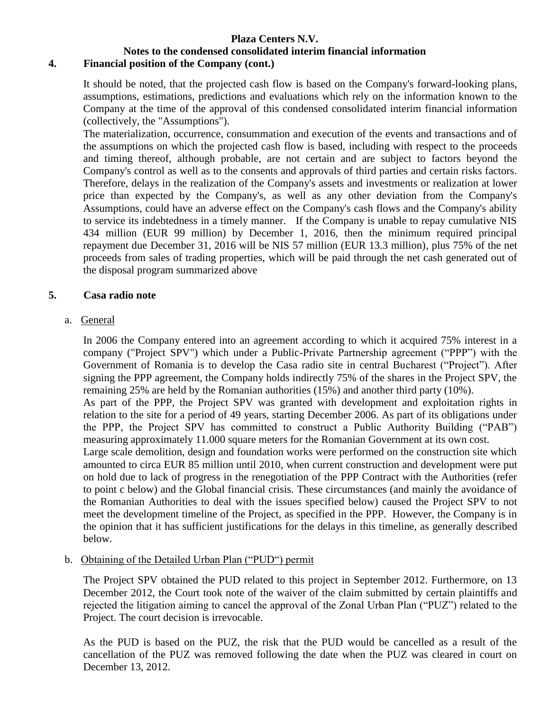# **Notes to the condensed consolidated interim financial information**

# **4. Financial position of the Company (cont.)**

It should be noted, that the projected cash flow is based on the Company's forward-looking plans, assumptions, estimations, predictions and evaluations which rely on the information known to the Company at the time of the approval of this condensed consolidated interim financial information (collectively, the "Assumptions").

The materialization, occurrence, consummation and execution of the events and transactions and of the assumptions on which the projected cash flow is based, including with respect to the proceeds and timing thereof, although probable, are not certain and are subject to factors beyond the Company's control as well as to the consents and approvals of third parties and certain risks factors. Therefore, delays in the realization of the Company's assets and investments or realization at lower price than expected by the Company's, as well as any other deviation from the Company's Assumptions, could have an adverse effect on the Company's cash flows and the Company's ability to service its indebtedness in a timely manner. If the Company is unable to repay cumulative NIS 434 million (EUR 99 million) by December 1, 2016, then the minimum required principal repayment due December 31, 2016 will be NIS 57 million (EUR 13.3 million), plus 75% of the net proceeds from sales of trading properties, which will be paid through the net cash generated out of the disposal program summarized above

### **5. Casa radio note**

### a. General

In 2006 the Company entered into an agreement according to which it acquired 75% interest in a company ("Project SPV") which under a Public-Private Partnership agreement ("PPP") with the Government of Romania is to develop the Casa radio site in central Bucharest ("Project"). After signing the PPP agreement, the Company holds indirectly 75% of the shares in the Project SPV, the remaining 25% are held by the Romanian authorities (15%) and another third party (10%).

As part of the PPP, the Project SPV was granted with development and exploitation rights in relation to the site for a period of 49 years, starting December 2006. As part of its obligations under the PPP, the Project SPV has committed to construct a Public Authority Building ("PAB") measuring approximately 11.000 square meters for the Romanian Government at its own cost.

Large scale demolition, design and foundation works were performed on the construction site which amounted to circa EUR 85 million until 2010, when current construction and development were put on hold due to lack of progress in the renegotiation of the PPP Contract with the Authorities (refer to point c below) and the Global financial crisis. These circumstances (and mainly the avoidance of the Romanian Authorities to deal with the issues specified below) caused the Project SPV to not meet the development timeline of the Project, as specified in the PPP. However, the Company is in the opinion that it has sufficient justifications for the delays in this timeline, as generally described below.

# b. Obtaining of the Detailed Urban Plan ("PUD") permit

The Project SPV obtained the PUD related to this project in September 2012. Furthermore, on 13 December 2012, the Court took note of the waiver of the claim submitted by certain plaintiffs and rejected the litigation aiming to cancel the approval of the Zonal Urban Plan ("PUZ") related to the Project. The court decision is irrevocable.

As the PUD is based on the PUZ, the risk that the PUD would be cancelled as a result of the cancellation of the PUZ was removed following the date when the PUZ was cleared in court on December 13, 2012.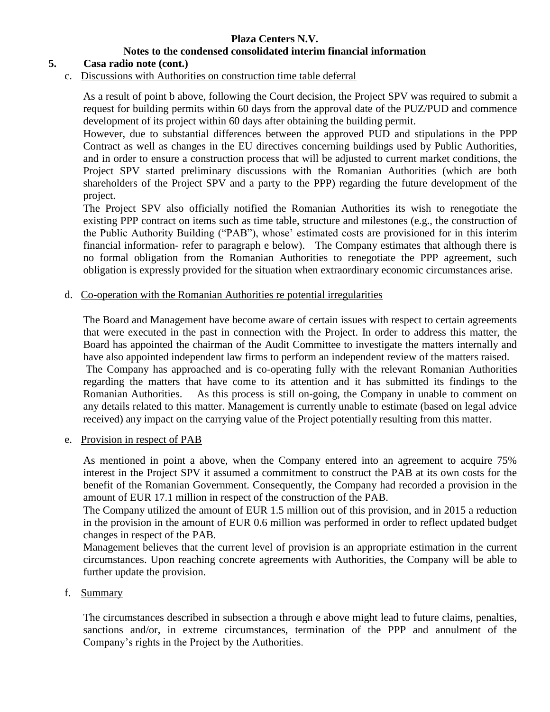# **Notes to the condensed consolidated interim financial information**

### **5. Casa radio note (cont.)**

c. Discussions with Authorities on construction time table deferral

As a result of point b above, following the Court decision, the Project SPV was required to submit a request for building permits within 60 days from the approval date of the PUZ/PUD and commence development of its project within 60 days after obtaining the building permit.

However, due to substantial differences between the approved PUD and stipulations in the PPP Contract as well as changes in the EU directives concerning buildings used by Public Authorities, and in order to ensure a construction process that will be adjusted to current market conditions, the Project SPV started preliminary discussions with the Romanian Authorities (which are both shareholders of the Project SPV and a party to the PPP) regarding the future development of the project.

The Project SPV also officially notified the Romanian Authorities its wish to renegotiate the existing PPP contract on items such as time table, structure and milestones (e.g., the construction of the Public Authority Building ("PAB"), whose' estimated costs are provisioned for in this interim financial information- refer to paragraph e below). The Company estimates that although there is no formal obligation from the Romanian Authorities to renegotiate the PPP agreement, such obligation is expressly provided for the situation when extraordinary economic circumstances arise.

#### d. Co-operation with the Romanian Authorities re potential irregularities

The Board and Management have become aware of certain issues with respect to certain agreements that were executed in the past in connection with the Project. In order to address this matter, the Board has appointed the chairman of the Audit Committee to investigate the matters internally and have also appointed independent law firms to perform an independent review of the matters raised. The Company has approached and is co-operating fully with the relevant Romanian Authorities regarding the matters that have come to its attention and it has submitted its findings to the Romanian Authorities. As this process is still on-going, the Company in unable to comment on any details related to this matter. Management is currently unable to estimate (based on legal advice received) any impact on the carrying value of the Project potentially resulting from this matter.

e. Provision in respect of PAB

As mentioned in point a above, when the Company entered into an agreement to acquire 75% interest in the Project SPV it assumed a commitment to construct the PAB at its own costs for the benefit of the Romanian Government. Consequently, the Company had recorded a provision in the amount of EUR 17.1 million in respect of the construction of the PAB.

The Company utilized the amount of EUR 1.5 million out of this provision, and in 2015 a reduction in the provision in the amount of EUR 0.6 million was performed in order to reflect updated budget changes in respect of the PAB.

Management believes that the current level of provision is an appropriate estimation in the current circumstances. Upon reaching concrete agreements with Authorities, the Company will be able to further update the provision.

#### f. Summary

The circumstances described in subsection a through e above might lead to future claims, penalties, sanctions and/or, in extreme circumstances, termination of the PPP and annulment of the Company's rights in the Project by the Authorities.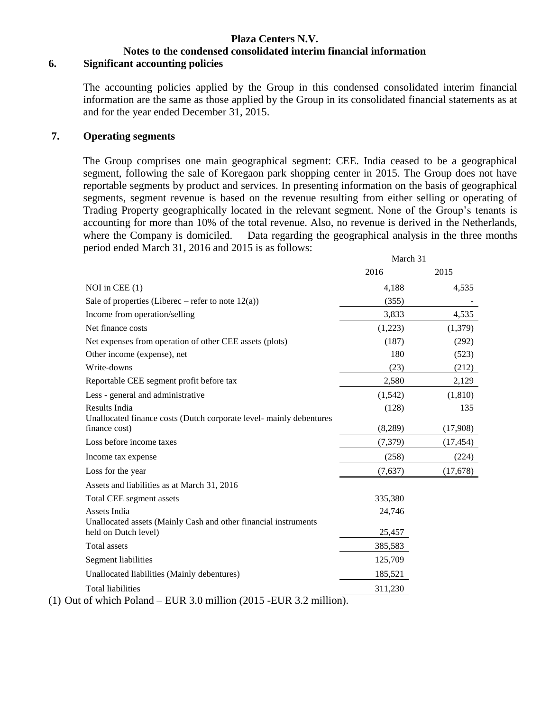# **Notes to the condensed consolidated interim financial information**

#### **6. Significant accounting policies**

The accounting policies applied by the Group in this condensed consolidated interim financial information are the same as those applied by the Group in its consolidated financial statements as at and for the year ended December 31, 2015.

#### **7. Operating segments**

The Group comprises one main geographical segment: CEE. India ceased to be a geographical segment, following the sale of Koregaon park shopping center in 2015. The Group does not have reportable segments by product and services. In presenting information on the basis of geographical segments, segment revenue is based on the revenue resulting from either selling or operating of Trading Property geographically located in the relevant segment. None of the Group's tenants is accounting for more than 10% of the total revenue. Also, no revenue is derived in the Netherlands, where the Company is domiciled. Data regarding the geographical analysis in the three months period ended March 31, 2016 and 2015 is as follows:

|                                                                                            | March 31 |           |
|--------------------------------------------------------------------------------------------|----------|-----------|
|                                                                                            | 2016     | 2015      |
| NOI in CEE $(1)$                                                                           | 4,188    | 4,535     |
| Sale of properties (Liberec – refer to note $12(a)$ )                                      | (355)    |           |
| Income from operation/selling                                                              | 3,833    | 4,535     |
| Net finance costs                                                                          | (1,223)  | (1,379)   |
| Net expenses from operation of other CEE assets (plots)                                    | (187)    | (292)     |
| Other income (expense), net                                                                | 180      | (523)     |
| Write-downs                                                                                | (23)     | (212)     |
| Reportable CEE segment profit before tax                                                   | 2,580    | 2,129     |
| Less - general and administrative                                                          | (1, 542) | (1,810)   |
| Results India                                                                              | (128)    | 135       |
| Unallocated finance costs (Dutch corporate level- mainly debentures<br>finance cost)       | (8,289)  | (17,908)  |
| Loss before income taxes                                                                   | (7, 379) | (17, 454) |
| Income tax expense                                                                         | (258)    | (224)     |
| Loss for the year                                                                          | (7,637)  | (17,678)  |
| Assets and liabilities as at March 31, 2016                                                |          |           |
| Total CEE segment assets                                                                   | 335,380  |           |
| Assets India                                                                               | 24,746   |           |
| Unallocated assets (Mainly Cash and other financial instruments<br>held on Dutch level)    | 25,457   |           |
| <b>Total</b> assets                                                                        | 385,583  |           |
| Segment liabilities                                                                        | 125,709  |           |
| Unallocated liabilities (Mainly debentures)                                                | 185,521  |           |
| <b>Total liabilities</b><br>of which Poland = $FIR 3.0$ million (2015 - $FIR 3.2$ million) | 311,230  |           |

(1) Out of which Poland – EUR 3.0 million (2015 -EUR 3.2 million).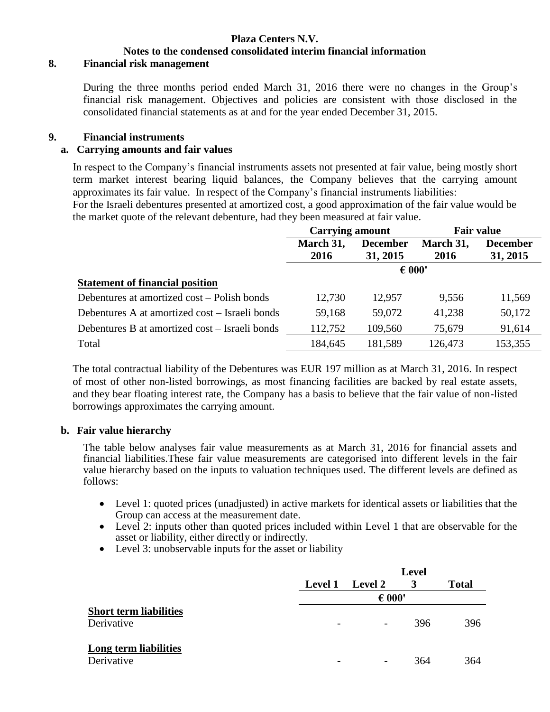# **Notes to the condensed consolidated interim financial information**

## **8. Financial risk management**

During the three months period ended March 31, 2016 there were no changes in the Group's financial risk management. Objectives and policies are consistent with those disclosed in the consolidated financial statements as at and for the year ended December 31, 2015.

### **9. Financial instruments**

## **a. Carrying amounts and fair values**

In respect to the Company's financial instruments assets not presented at fair value, being mostly short term market interest bearing liquid balances, the Company believes that the carrying amount approximates its fair value. In respect of the Company's financial instruments liabilities:

For the Israeli debentures presented at amortized cost, a good approximation of the fair value would be the market quote of the relevant debenture, had they been measured at fair value.

|                                                | <b>Carrying amount</b> |                 | <b>Fair value</b> |                 |
|------------------------------------------------|------------------------|-----------------|-------------------|-----------------|
|                                                | March 31,<br>2016      | <b>December</b> | March 31,<br>2016 | <b>December</b> |
|                                                |                        | 31, 2015        |                   | 31, 2015        |
|                                                |                        | $\epsilon$ 000' |                   |                 |
| <b>Statement of financial position</b>         |                        |                 |                   |                 |
| Debentures at amortized cost – Polish bonds    | 12,730                 | 12,957          | 9.556             | 11,569          |
| Debentures A at amortized cost – Israeli bonds | 59,168                 | 59,072          | 41,238            | 50,172          |
| Debentures B at amortized cost – Israeli bonds | 112,752                | 109,560         | 75,679            | 91,614          |
| Total                                          | 184,645                | 181,589         | 126,473           | 153,355         |

The total contractual liability of the Debentures was EUR 197 million as at March 31, 2016. In respect of most of other non-listed borrowings, as most financing facilities are backed by real estate assets, and they bear floating interest rate, the Company has a basis to believe that the fair value of non-listed borrowings approximates the carrying amount.

#### **b. Fair value hierarchy**

The table below analyses fair value measurements as at March 31, 2016 for financial assets and financial liabilities.These fair value measurements are categorised into different levels in the fair value hierarchy based on the inputs to valuation techniques used. The different levels are defined as follows:

- Level 1: quoted prices (unadjusted) in active markets for identical assets or liabilities that the Group can access at the measurement date.
- Level 2: inputs other than quoted prices included within Level 1 that are observable for the asset or liability, either directly or indirectly.
- Level 3: unobservable inputs for the asset or liability

|                                             |                          | <b>Level</b>    |     |              |  |
|---------------------------------------------|--------------------------|-----------------|-----|--------------|--|
|                                             | <b>Level 1</b>           | <b>Level 2</b>  | 3   | <b>Total</b> |  |
|                                             |                          | $\epsilon$ 000' |     |              |  |
| <b>Short term liabilities</b><br>Derivative | $\overline{\phantom{a}}$ |                 | 396 | 396          |  |
| Long term liabilities<br>Derivative         |                          |                 | 364 | 364          |  |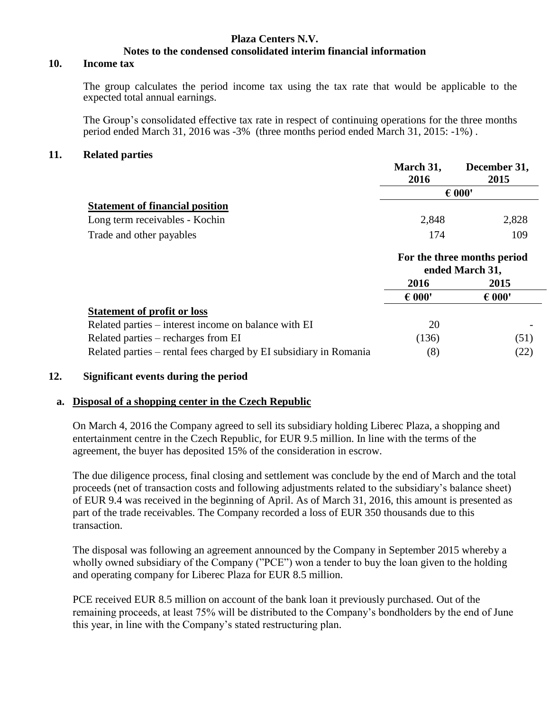#### **Plaza Centers N.V. Notes to the condensed consolidated interim financial information**

#### **10. Income tax**

The group calculates the period income tax using the tax rate that would be applicable to the expected total annual earnings.

The Group's consolidated effective tax rate in respect of continuing operations for the three months period ended March 31, 2016 was -3% (three months period ended March 31, 2015: -1%) .

#### **11. Related parties**

|                                                                   | March 31,<br>2016 | December 31,<br>2015                           |
|-------------------------------------------------------------------|-------------------|------------------------------------------------|
|                                                                   |                   | $\epsilon$ 000'                                |
| <b>Statement of financial position</b>                            |                   |                                                |
| Long term receivables - Kochin                                    | 2,848             | 2,828                                          |
| Trade and other payables                                          | 174               | 109                                            |
|                                                                   |                   | For the three months period<br>ended March 31, |
|                                                                   | 2016              | 2015                                           |
|                                                                   | $\epsilon$ 000'   | $\epsilon$ 000'                                |
| <b>Statement of profit or loss</b>                                |                   |                                                |
| Related parties – interest income on balance with EI              | 20                |                                                |
| Related parties – recharges from EI                               | (136)             | (51)                                           |
| Related parties – rental fees charged by EI subsidiary in Romania | (8)               | (22)                                           |

#### **12. Significant events during the period**

#### **a. Disposal of a shopping center in the Czech Republic**

On March 4, 2016 the Company agreed to sell its subsidiary holding Liberec Plaza, a shopping and entertainment centre in the Czech Republic, for EUR 9.5 million. In line with the terms of the agreement, the buyer has deposited 15% of the consideration in escrow.

The due diligence process, final closing and settlement was conclude by the end of March and the total proceeds (net of transaction costs and following adjustments related to the subsidiary's balance sheet) of EUR 9.4 was received in the beginning of April. As of March 31, 2016, this amount is presented as part of the trade receivables. The Company recorded a loss of EUR 350 thousands due to this transaction.

The disposal was following an agreement announced by the Company in September 2015 whereby a wholly owned subsidiary of the Company ("PCE") won a tender to buy the loan given to the holding and operating company for Liberec Plaza for EUR 8.5 million.

PCE received EUR 8.5 million on account of the bank loan it previously purchased. Out of the remaining proceeds, at least 75% will be distributed to the Company's bondholders by the end of June this year, in line with the Company's stated restructuring plan.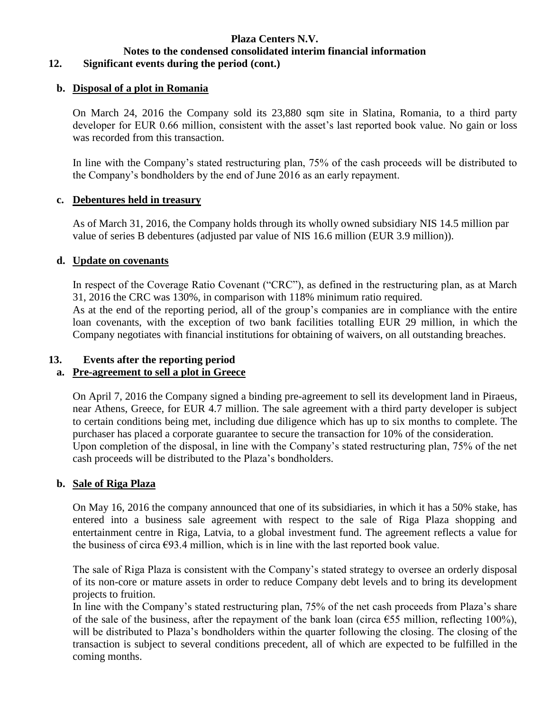# **Notes to the condensed consolidated interim financial information**

# **12. Significant events during the period (cont.)**

# **b. Disposal of a plot in Romania**

On March 24, 2016 the Company sold its 23,880 sqm site in Slatina, Romania, to a third party developer for EUR 0.66 million, consistent with the asset's last reported book value. No gain or loss was recorded from this transaction.

In line with the Company's stated restructuring plan, 75% of the cash proceeds will be distributed to the Company's bondholders by the end of June 2016 as an early repayment.

### **c. Debentures held in treasury**

As of March 31, 2016, the Company holds through its wholly owned subsidiary NIS 14.5 million par value of series B debentures (adjusted par value of NIS 16.6 million (EUR 3.9 million)).

### **d. Update on covenants**

In respect of the Coverage Ratio Covenant ("CRC"), as defined in the restructuring plan, as at March 31, 2016 the CRC was 130%, in comparison with 118% minimum ratio required.

As at the end of the reporting period, all of the group's companies are in compliance with the entire loan covenants, with the exception of two bank facilities totalling EUR 29 million, in which the Company negotiates with financial institutions for obtaining of waivers, on all outstanding breaches.

## **13. Events after the reporting period**

# **a. Pre-agreement to sell a plot in Greece**

On April 7, 2016 the Company signed a binding pre-agreement to sell its development land in Piraeus, near Athens, Greece, for EUR 4.7 million. The sale agreement with a third party developer is subject to certain conditions being met, including due diligence which has up to six months to complete. The purchaser has placed a corporate guarantee to secure the transaction for 10% of the consideration. Upon completion of the disposal, in line with the Company's stated restructuring plan, 75% of the net cash proceeds will be distributed to the Plaza's bondholders.

# **b. Sale of Riga Plaza**

On May 16, 2016 the company announced that one of its subsidiaries, in which it has a 50% stake, has entered into a business sale agreement with respect to the sale of Riga Plaza shopping and entertainment centre in Riga, Latvia, to a global investment fund. The agreement reflects a value for the business of circa  $\epsilon$ 93.4 million, which is in line with the last reported book value.

The sale of Riga Plaza is consistent with the Company's stated strategy to oversee an orderly disposal of its non-core or mature assets in order to reduce Company debt levels and to bring its development projects to fruition.

In line with the Company's stated restructuring plan, 75% of the net cash proceeds from Plaza's share of the sale of the business, after the repayment of the bank loan (circa  $\epsilon$ 55 million, reflecting 100%), will be distributed to Plaza's bondholders within the quarter following the closing. The closing of the transaction is subject to several conditions precedent, all of which are expected to be fulfilled in the coming months.